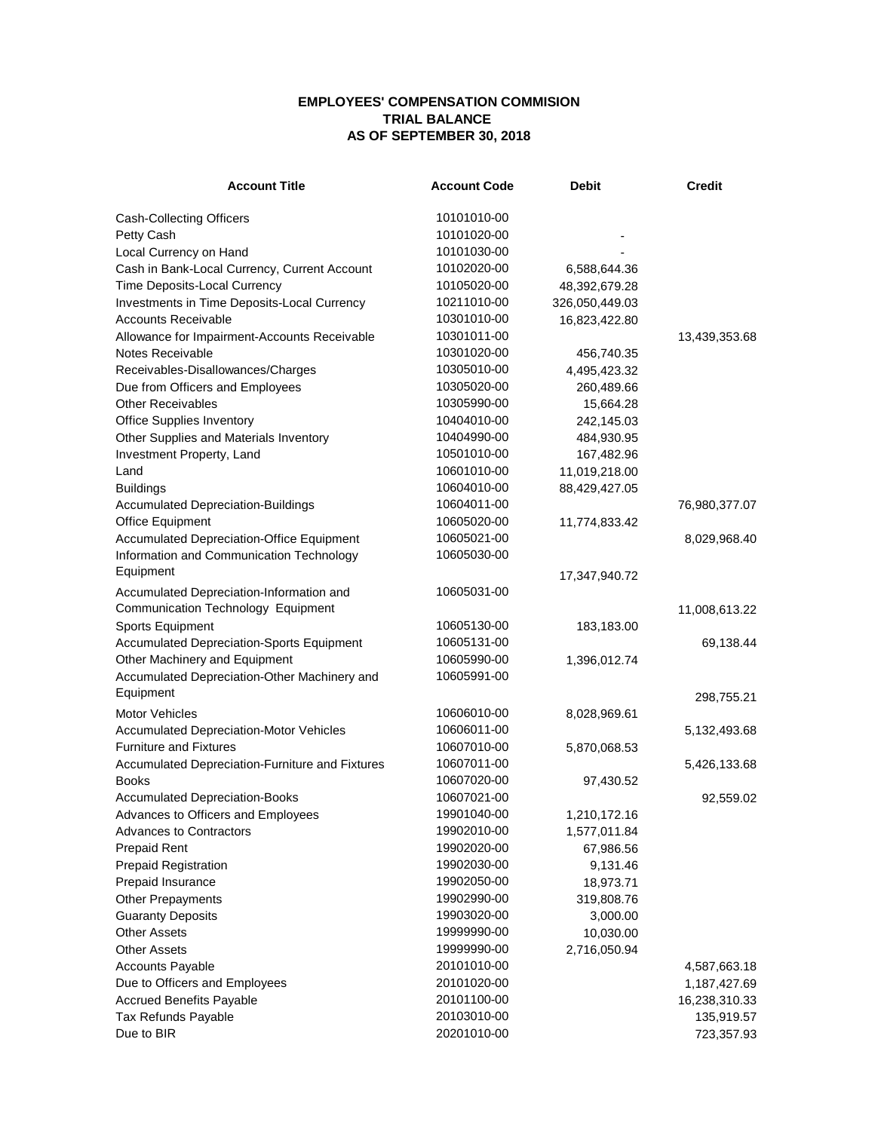## **EMPLOYEES' COMPENSATION COMMISION TRIAL BALANCE AS OF SEPTEMBER 30, 2018**

| <b>Account Title</b>                                      | <b>Account Code</b> | <b>Debit</b>   | <b>Credit</b> |
|-----------------------------------------------------------|---------------------|----------------|---------------|
| Cash-Collecting Officers                                  | 10101010-00         |                |               |
| Petty Cash                                                | 10101020-00         |                |               |
| Local Currency on Hand                                    | 10101030-00         |                |               |
| Cash in Bank-Local Currency, Current Account              | 10102020-00         | 6,588,644.36   |               |
| Time Deposits-Local Currency                              | 10105020-00         | 48,392,679.28  |               |
| Investments in Time Deposits-Local Currency               | 10211010-00         | 326,050,449.03 |               |
| <b>Accounts Receivable</b>                                | 10301010-00         | 16,823,422.80  |               |
| Allowance for Impairment-Accounts Receivable              | 10301011-00         |                | 13,439,353.68 |
| Notes Receivable                                          | 10301020-00         | 456,740.35     |               |
| Receivables-Disallowances/Charges                         | 10305010-00         | 4,495,423.32   |               |
| Due from Officers and Employees                           | 10305020-00         | 260,489.66     |               |
| <b>Other Receivables</b>                                  | 10305990-00         | 15,664.28      |               |
| <b>Office Supplies Inventory</b>                          | 10404010-00         | 242,145.03     |               |
| Other Supplies and Materials Inventory                    | 10404990-00         | 484,930.95     |               |
| Investment Property, Land                                 | 10501010-00         | 167,482.96     |               |
| Land                                                      | 10601010-00         | 11,019,218.00  |               |
| <b>Buildings</b>                                          | 10604010-00         | 88,429,427.05  |               |
| <b>Accumulated Depreciation-Buildings</b>                 | 10604011-00         |                |               |
| <b>Office Equipment</b>                                   | 10605020-00         |                | 76,980,377.07 |
| Accumulated Depreciation-Office Equipment                 | 10605021-00         | 11,774,833.42  |               |
| Information and Communication Technology                  | 10605030-00         |                | 8,029,968.40  |
| Equipment                                                 |                     |                |               |
|                                                           |                     | 17,347,940.72  |               |
| Accumulated Depreciation-Information and                  | 10605031-00         |                |               |
| Communication Technology Equipment                        |                     |                | 11,008,613.22 |
| Sports Equipment                                          | 10605130-00         | 183,183.00     |               |
| <b>Accumulated Depreciation-Sports Equipment</b>          | 10605131-00         |                | 69,138.44     |
| Other Machinery and Equipment                             | 10605990-00         | 1,396,012.74   |               |
| Accumulated Depreciation-Other Machinery and<br>Equipment | 10605991-00         |                | 298,755.21    |
| <b>Motor Vehicles</b>                                     | 10606010-00         | 8,028,969.61   |               |
| <b>Accumulated Depreciation-Motor Vehicles</b>            | 10606011-00         |                | 5,132,493.68  |
| <b>Furniture and Fixtures</b>                             | 10607010-00         | 5,870,068.53   |               |
| Accumulated Depreciation-Furniture and Fixtures           | 10607011-00         |                | 5,426,133.68  |
| <b>Books</b>                                              | 10607020-00         | 97,430.52      |               |
| <b>Accumulated Depreciation-Books</b>                     | 10607021-00         |                | 92,559.02     |
| Advances to Officers and Employees                        | 19901040-00         | 1,210,172.16   |               |
| <b>Advances to Contractors</b>                            | 19902010-00         | 1,577,011.84   |               |
| <b>Prepaid Rent</b>                                       | 19902020-00         | 67,986.56      |               |
| <b>Prepaid Registration</b>                               | 19902030-00         | 9,131.46       |               |
| Prepaid Insurance                                         | 19902050-00         | 18,973.71      |               |
| <b>Other Prepayments</b>                                  | 19902990-00         | 319,808.76     |               |
| <b>Guaranty Deposits</b>                                  | 19903020-00         | 3,000.00       |               |
| <b>Other Assets</b>                                       | 19999990-00         | 10,030.00      |               |
| <b>Other Assets</b>                                       | 19999990-00         | 2,716,050.94   |               |
| <b>Accounts Payable</b>                                   | 20101010-00         |                | 4,587,663.18  |
| Due to Officers and Employees                             | 20101020-00         |                | 1,187,427.69  |
| <b>Accrued Benefits Payable</b>                           | 20101100-00         |                | 16,238,310.33 |
| Tax Refunds Payable                                       | 20103010-00         |                | 135,919.57    |
| Due to BIR                                                | 20201010-00         |                | 723,357.93    |
|                                                           |                     |                |               |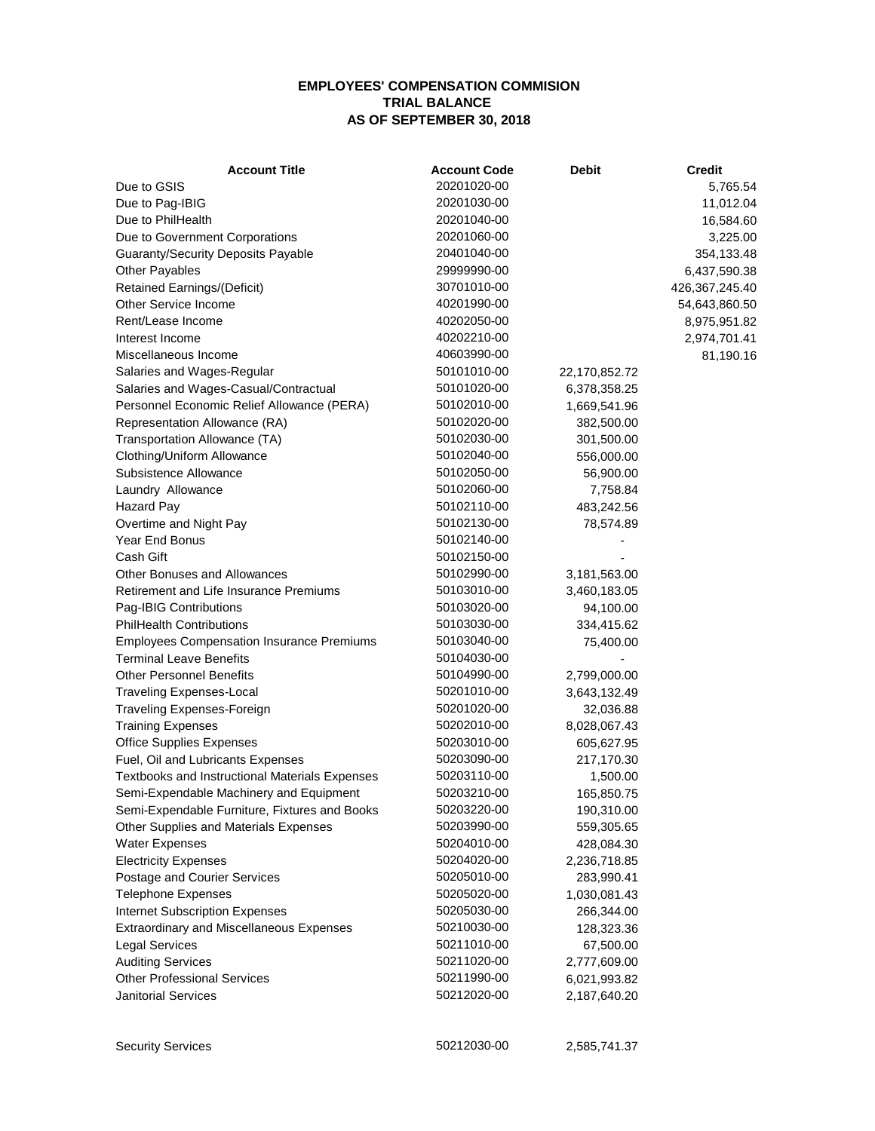## **EMPLOYEES' COMPENSATION COMMISION TRIAL BALANCE AS OF SEPTEMBER 30, 2018**

| <b>Account Title</b>                             | <b>Account Code</b> | <b>Debit</b>  | <b>Credit</b>  |
|--------------------------------------------------|---------------------|---------------|----------------|
| Due to GSIS                                      | 20201020-00         |               | 5,765.54       |
| Due to Pag-IBIG                                  | 20201030-00         |               | 11,012.04      |
| Due to PhilHealth                                | 20201040-00         |               | 16,584.60      |
| Due to Government Corporations                   | 20201060-00         |               | 3,225.00       |
| <b>Guaranty/Security Deposits Payable</b>        | 20401040-00         |               | 354,133.48     |
| Other Payables                                   | 29999990-00         |               | 6,437,590.38   |
| <b>Retained Earnings/(Deficit)</b>               | 30701010-00         |               | 426,367,245.40 |
| <b>Other Service Income</b>                      | 40201990-00         |               | 54,643,860.50  |
| Rent/Lease Income                                | 40202050-00         |               | 8,975,951.82   |
| Interest Income                                  | 40202210-00         |               | 2,974,701.41   |
| Miscellaneous Income                             | 40603990-00         |               | 81,190.16      |
| Salaries and Wages-Regular                       | 50101010-00         | 22,170,852.72 |                |
| Salaries and Wages-Casual/Contractual            | 50101020-00         | 6,378,358.25  |                |
| Personnel Economic Relief Allowance (PERA)       | 50102010-00         | 1,669,541.96  |                |
| Representation Allowance (RA)                    | 50102020-00         | 382,500.00    |                |
| Transportation Allowance (TA)                    | 50102030-00         | 301,500.00    |                |
| Clothing/Uniform Allowance                       | 50102040-00         | 556,000.00    |                |
| Subsistence Allowance                            | 50102050-00         | 56,900.00     |                |
| Laundry Allowance                                | 50102060-00         | 7,758.84      |                |
| <b>Hazard Pay</b>                                | 50102110-00         | 483,242.56    |                |
| Overtime and Night Pay                           | 50102130-00         | 78,574.89     |                |
| Year End Bonus                                   | 50102140-00         |               |                |
| Cash Gift                                        | 50102150-00         |               |                |
| Other Bonuses and Allowances                     | 50102990-00         | 3,181,563.00  |                |
| Retirement and Life Insurance Premiums           | 50103010-00         | 3,460,183.05  |                |
| Pag-IBIG Contributions                           | 50103020-00         | 94,100.00     |                |
| <b>PhilHealth Contributions</b>                  | 50103030-00         | 334,415.62    |                |
| <b>Employees Compensation Insurance Premiums</b> | 50103040-00         | 75,400.00     |                |
| <b>Terminal Leave Benefits</b>                   | 50104030-00         |               |                |
| <b>Other Personnel Benefits</b>                  | 50104990-00         | 2,799,000.00  |                |
|                                                  | 50201010-00         |               |                |
| <b>Traveling Expenses-Local</b>                  | 50201020-00         | 3,643,132.49  |                |
| Traveling Expenses-Foreign                       | 50202010-00         | 32,036.88     |                |
| <b>Training Expenses</b>                         |                     | 8,028,067.43  |                |
| <b>Office Supplies Expenses</b>                  | 50203010-00         | 605,627.95    |                |
| Fuel, Oil and Lubricants Expenses                | 50203090-00         | 217,170.30    |                |
| Textbooks and Instructional Materials Expenses   | 50203110-00         | 1,500.00      |                |
| Semi-Expendable Machinery and Equipment          | 50203210-00         | 165,850.75    |                |
| Semi-Expendable Furniture, Fixtures and Books    | 50203220-00         | 190,310.00    |                |
| Other Supplies and Materials Expenses            | 50203990-00         | 559,305.65    |                |
| <b>Water Expenses</b>                            | 50204010-00         | 428,084.30    |                |
| <b>Electricity Expenses</b>                      | 50204020-00         | 2,236,718.85  |                |
| Postage and Courier Services                     | 50205010-00         | 283,990.41    |                |
| <b>Telephone Expenses</b>                        | 50205020-00         | 1,030,081.43  |                |
| <b>Internet Subscription Expenses</b>            | 50205030-00         | 266,344.00    |                |
| <b>Extraordinary and Miscellaneous Expenses</b>  | 50210030-00         | 128,323.36    |                |
| <b>Legal Services</b>                            | 50211010-00         | 67,500.00     |                |
| <b>Auditing Services</b>                         | 50211020-00         | 2,777,609.00  |                |
| <b>Other Professional Services</b>               | 50211990-00         | 6,021,993.82  |                |
| <b>Janitorial Services</b>                       | 50212020-00         | 2,187,640.20  |                |
|                                                  |                     |               |                |

Security Services 60212030-00 2,585,741.37